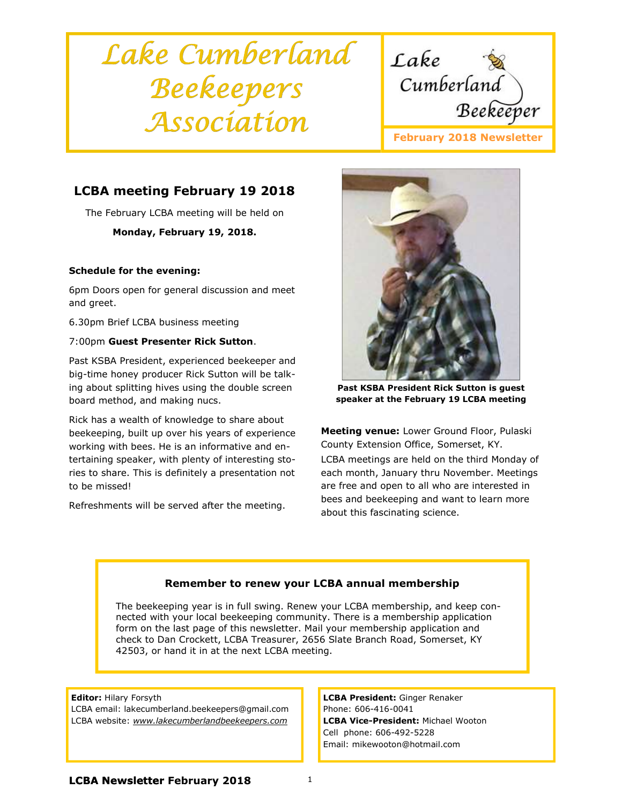# Lake Cumberland Beekeepers Association



# LCBA meeting February 19 2018

The February LCBA meeting will be held on

#### Monday, February 19, 2018.

#### Schedule for the evening:

6pm Doors open for general discussion and meet and greet.

6.30pm Brief LCBA business meeting

#### 7:00pm Guest Presenter Rick Sutton.

Past KSBA President, experienced beekeeper and big-time honey producer Rick Sutton will be talking about splitting hives using the double screen board method, and making nucs.

Rick has a wealth of knowledge to share about beekeeping, built up over his years of experience working with bees. He is an informative and entertaining speaker, with plenty of interesting stories to share. This is definitely a presentation not to be missed!

Refreshments will be served after the meeting.



Past KSBA President Rick Sutton is guest speaker at the February 19 LCBA meeting

Meeting venue: Lower Ground Floor, Pulaski County Extension Office, Somerset, KY. LCBA meetings are held on the third Monday of each month, January thru November. Meetings are free and open to all who are interested in bees and beekeeping and want to learn more about this fascinating science.

## Remember to renew your LCBA annual membership

The beekeeping year is in full swing. Renew your LCBA membership, and keep connected with your local beekeeping community. There is a membership application form on the last page of this newsletter. Mail your membership application and check to Dan Crockett, LCBA Treasurer, 2656 Slate Branch Road, Somerset, KY 42503, or hand it in at the next LCBA meeting.

#### Editor: Hilary Forsyth

LCBA email: lakecumberland.beekeepers@gmail.com LCBA website: www.lakecumberlandbeekeepers.com

LCBA President: Ginger Renaker Phone: 606-416-0041 LCBA Vice-President: Michael Wooton Cell phone: 606-492-5228 Email: mikewooton@hotmail.com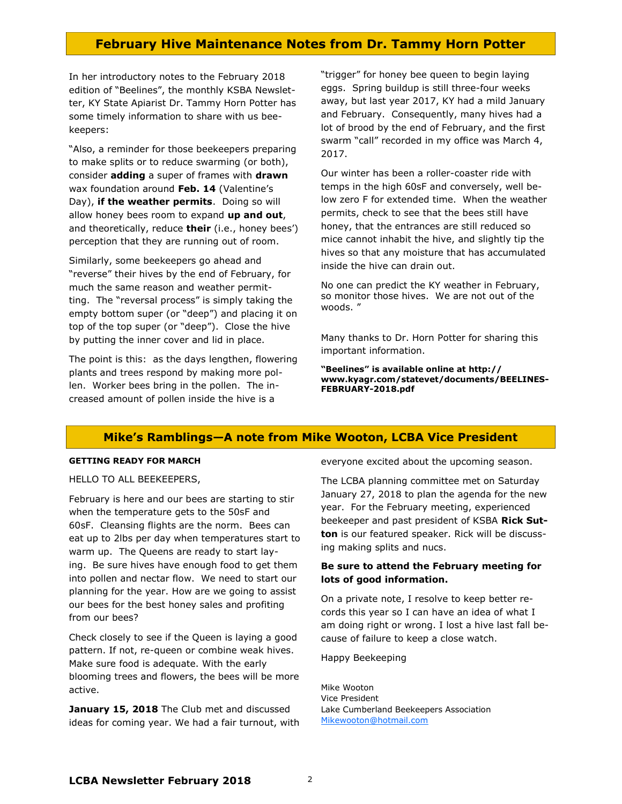## February Hive Maintenance Notes from Dr. Tammy Horn Potter

In her introductory notes to the February 2018 edition of "Beelines", the monthly KSBA Newsletter, KY State Apiarist Dr. Tammy Horn Potter has some timely information to share with us beekeepers:

"Also, a reminder for those beekeepers preparing to make splits or to reduce swarming (or both), consider **adding** a super of frames with **drawn** wax foundation around Feb. 14 (Valentine's Day), if the weather permits. Doing so will allow honey bees room to expand up and out, and theoretically, reduce their (i.e., honey bees') perception that they are running out of room.

Similarly, some beekeepers go ahead and "reverse" their hives by the end of February, for much the same reason and weather permitting. The "reversal process" is simply taking the empty bottom super (or "deep") and placing it on top of the top super (or "deep"). Close the hive by putting the inner cover and lid in place.

The point is this: as the days lengthen, flowering plants and trees respond by making more pollen. Worker bees bring in the pollen. The increased amount of pollen inside the hive is a

"trigger" for honey bee queen to begin laying eggs. Spring buildup is still three-four weeks away, but last year 2017, KY had a mild January and February. Consequently, many hives had a lot of brood by the end of February, and the first swarm "call" recorded in my office was March 4, 2017.

Our winter has been a roller-coaster ride with temps in the high 60sF and conversely, well below zero F for extended time. When the weather permits, check to see that the bees still have honey, that the entrances are still reduced so mice cannot inhabit the hive, and slightly tip the hives so that any moisture that has accumulated inside the hive can drain out.

No one can predict the KY weather in February, so monitor those hives. We are not out of the woods. "

Many thanks to Dr. Horn Potter for sharing this important information.

"Beelines" is available online at http:// www.kyagr.com/statevet/documents/BEELINES-FEBRUARY-2018.pdf

#### Mike's Ramblings—A note from Mike Wooton, LCBA Vice President

#### GETTING READY FOR MARCH

HELLO TO ALL BEEKEEPERS,

February is here and our bees are starting to stir when the temperature gets to the 50sF and 60sF. Cleansing flights are the norm. Bees can eat up to 2lbs per day when temperatures start to warm up. The Queens are ready to start laying. Be sure hives have enough food to get them into pollen and nectar flow. We need to start our planning for the year. How are we going to assist our bees for the best honey sales and profiting from our bees?

Check closely to see if the Queen is laying a good pattern. If not, re-queen or combine weak hives. Make sure food is adequate. With the early blooming trees and flowers, the bees will be more active.

January 15, 2018 The Club met and discussed ideas for coming year. We had a fair turnout, with everyone excited about the upcoming season.

The LCBA planning committee met on Saturday January 27, 2018 to plan the agenda for the new year. For the February meeting, experienced beekeeper and past president of KSBA Rick Sutton is our featured speaker. Rick will be discussing making splits and nucs.

#### Be sure to attend the February meeting for lots of good information.

On a private note, I resolve to keep better records this year so I can have an idea of what I am doing right or wrong. I lost a hive last fall because of failure to keep a close watch.

Happy Beekeeping

Mike Wooton Vice President Lake Cumberland Beekeepers Association Mikewooton@hotmail.com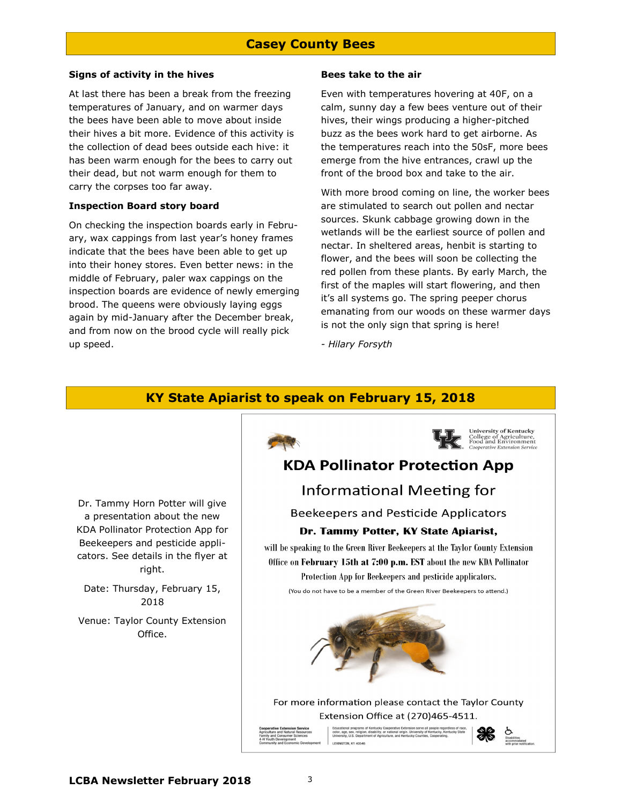# Casey County Bees

#### Signs of activity in the hives

At last there has been a break from the freezing temperatures of January, and on warmer days the bees have been able to move about inside their hives a bit more. Evidence of this activity is the collection of dead bees outside each hive: it has been warm enough for the bees to carry out their dead, but not warm enough for them to carry the corpses too far away.

#### Inspection Board story board

On checking the inspection boards early in February, wax cappings from last year's honey frames indicate that the bees have been able to get up into their honey stores. Even better news: in the middle of February, paler wax cappings on the inspection boards are evidence of newly emerging brood. The queens were obviously laying eggs again by mid-January after the December break, and from now on the brood cycle will really pick up speed.

#### Bees take to the air

Even with temperatures hovering at 40F, on a calm, sunny day a few bees venture out of their hives, their wings producing a higher-pitched buzz as the bees work hard to get airborne. As the temperatures reach into the 50sF, more bees emerge from the hive entrances, crawl up the front of the brood box and take to the air.

With more brood coming on line, the worker bees are stimulated to search out pollen and nectar sources. Skunk cabbage growing down in the wetlands will be the earliest source of pollen and nectar. In sheltered areas, henbit is starting to flower, and the bees will soon be collecting the red pollen from these plants. By early March, the first of the maples will start flowering, and then it's all systems go. The spring peeper chorus emanating from our woods on these warmer days is not the only sign that spring is here!

- Hilary Forsyth

# KY State Apiarist to speak on February 15, 2018

Dr. Tammy Horn Potter will give a presentation about the new KDA Pollinator Protection App for Beekeepers and pesticide applicators. See details in the flyer at right.

Date: Thursday, February 15, 2018

Venue: Taylor County Extension Office.



For more information please contact the Taylor County Extension Office at (270)465-4511.

color, age, sex, religion, LEXINGTON, KY 40546